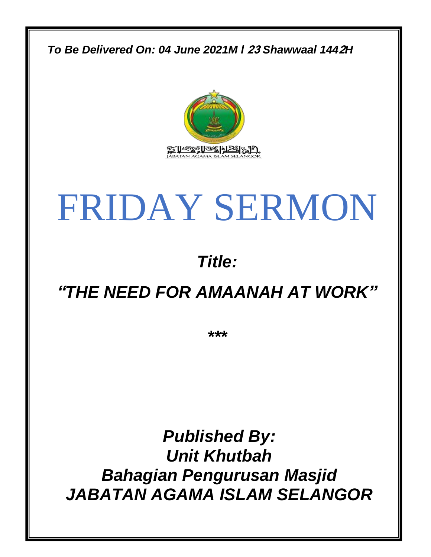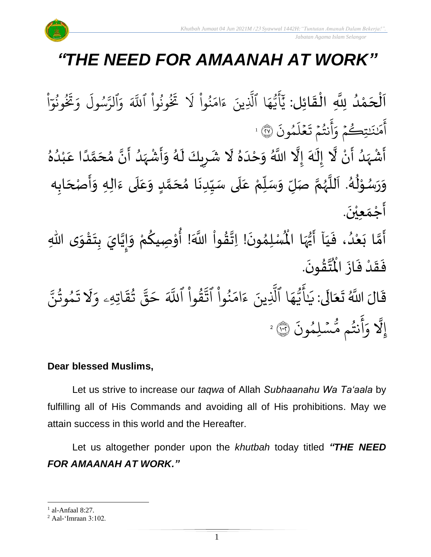## *"THE NEED FOR AMAANAH AT WORK"*

 $\frac{1}{2}$ ن<br>ا اَلْحَمْدُ لِلَّهِ الْقَائِل: يَأَيُّهَا ٱلَّذِينَ ءَامَنُواْ لَا تَخُونُواْ ٱللَّهَ وَٱلرَّسُولَ وَتَخُونُوٓ ٍ<br>ا ْ  $\overline{\phantom{a}}$ ْ  $\overline{\phantom{a}}$  $\frac{1}{2}$ ْ ْ ا و ون ُو<br>په و<br>و  $\ddot{\mathbf{r}}$ ؚ<br>خ ِرِ و َ ول س و<br>د ند<br>ند الرَّ ِ<br>م و ذَ ونُوا اللَّهَ ْ ُو و<br>و  $\ddot{\mathbf{r}}$ نز<br>خ ر<br>1 نُوا لا ْ ُ ِ<br>م ام  $\tilde{\epsilon}$ ِ<br>لَّذِينَ ءَ ا ٱَّل ِ<br>م ه و<br>د سَ<br>ب ِ<br>ج أ ِ<br>د ي .<br>` مُونَ و ِ<br>ا ل ع  $\frac{1}{2}$  $\ddot{\mathbf{r}}$ نتُمۡ تَـ  $\frac{1}{2}$ و<br>په ِ<br>ج أ ِ<br>ہ تِكُمْ وَ  $\frac{1}{2}$ ر َٰ ِ<br>مَٰن<u>ْنَ</u> م ِ<br>ج آمَنَنتِكُمْ وَآنَتُمْ تَعْلَمُونَ ۞ ا ا<br>مارچ<br>مارچ ं<br>इ ۔<br>ا  $\frac{1}{2}$ ्<br>नि

ؚ<br>• أَشْهَدُ أَنْ لَّا إِلَٰهَ إِلَّا اللَّهُ وَحْدَهُ لَا شَرِيكَ لَهُ وَأَشْهَدُ أَنَّ مُحَمَّدًا عَبْدُهُ ِ<br>ا ً<br>ز<br>ر ؚ<br>ۣ ँ<br>प ِ<br>پر |<br>יַ ِ<br>ٌ  $\frac{1}{1}$  $\tilde{\cdot}$ ر<br>الم ً<br>أ َ ً<br>ا ั<br>ถ ๋<br>ጎ َ ِ<br>ُا ً<br>زار<br>م ْ  $\tilde{\cdot}$ ِ<br>رُ  $\ddot{\bullet}$ <u>ر</u>  $\mathbf{r}$ ِ<br>ٌ ِ<br>ا ់<br>រ وَرَسُوْلُهُ. اَللَّهُمَّ صَلِّ وَسَلِّمْ عَلَى سَيِّدِنَا مُحَمَّدٍ وَعَلَى ءَالِهِ وَأَصْحَابِه  $\overline{\phantom{a}}$  $\ddot{\phantom{0}}$  $\frac{1}{2}$  $\frac{1}{2}$ َ<br>آ ِ<br>م  $\frac{1}{2}$ <u>لم</u> ั<br>ว  $\frac{1}{2}$ ا<br>-<br>• ِّ با<br>با َ<br>آ ِ<br>م ِّ  $\frac{1}{2}$  $\frac{1}{2}$ ี<br>จ ر<br>ر<br>ر ً<br>ا  $\mathbf{r}$ ا<br>ر ُ ֦֧<u>֫</u> ر<br>رہ  $\ddot{\phantom{0}}$  $\frac{1}{2}$  $\ddot{\phantom{0}}$ أَجْمَع<u>ِيْن</u>َ. ْ  $\frac{1}{2}$  $\frac{1}{2}$ 

لْمُسْلِمُونَ! اِتَّقُواْ اللَّهَ! أُوْصِيكُمْ وَإِيَّايَ بِتَقْوَى اللَّهِ  $\ddot{\ }$ ֦֧֦֧֦֧֦֧֦֧֦֧֦֧֦֧֦֧֦֧֦֧֦֧֦֧֦֧<br>**֧**  $\ddot{\phantom{0}}$ **ؚ** َ  $\frac{1}{2}$  $\tilde{\cdot}$ <u>،</u> ٝ<br>ؙ ُ<br>ُ'' ់<br>ព ُ<br>ُ  $\frac{1}{2}$  $\ddot{\phantom{0}}$ ›<br>ጎ أَمَّا بَعْدُ، فَيَاۤ أَيُّهَا الْمُ ِ<br>ياس<br>مرا ر<br>و<br>•  $\ddot{\phantom{0}}$  $\frac{1}{1}$  $\ddot{\cdot}$ ِ<br>ا ْ  $\ddot{\phantom{0}}$ ั้ง<br>ว  $\ddot{\phantom{0}}$ .  $\ddot{\phantom{0}}$ ؾڤۅڹؘ <u>بر</u> ا<br>المجل ُ<br>ا فَقَدْ فَازَ الْمُ  $\ddot{\cdot}$  $\ddot{\cdot}$ ْ  $\frac{1}{2}$  $\ddot{\cdot}$ 

 $\ddot{\mathbf{r}}$ قَالَ اللَّهُ تَعَالَى: يَ ً<br>ال َ  $\ddot{\phantom{0}}$ َٰ ي ر<br>م اتِهِۦ و  $\ddot{\cdot}$ ق ت و<br>به ب<br>مو قی  $\tilde{\phantom{a}}$ ح ذَ قُوا اللَّهَ ْ ور زن<br>مو نُوا اڌّ <u>ہ</u> ُو ر<br>م ام َ<br>ء ء ِينَ بة<br>1 ا الَّذِ ِ<br>م ه و<br>م نک<br>ڊ ِ<br>ج أَيُّهَا ٱلَّذِينَ ءَامَنُواْ ٱتَّقُواْ ٱللَّهَ حَقَّ تُقَاتِهِۦ وَلَا تَمُوتُنَّ  $\ddot{\phantom{0}}$ مُوثَنَّ و<br>په و  $\ddot{\cdot}$ ت إِ ّل ہ<br>ال  $\ddot{\cdot}$ سُلِمُونَ و  $\ddot{\phantom{0}}$ و<br>مە نتُم مَّ و<br>به ِ<br>ج أ وَأَنتُم مُّسۡلِمُونَ ۞ 2

### **Dear blessed Muslims,**

Let us strive to increase our *taqwa* of Allah *Subhaanahu Wa Ta'aala* by fulfilling all of His Commands and avoiding all of His prohibitions. May we attain success in this world and the Hereafter.

Let us altogether ponder upon the *khutbah* today titled *"THE NEED FOR AMAANAH AT WORK."*

 $<sup>1</sup>$  al-Anfaal 8:27.</sup>

<sup>2</sup> Aal-'Imraan 3:102.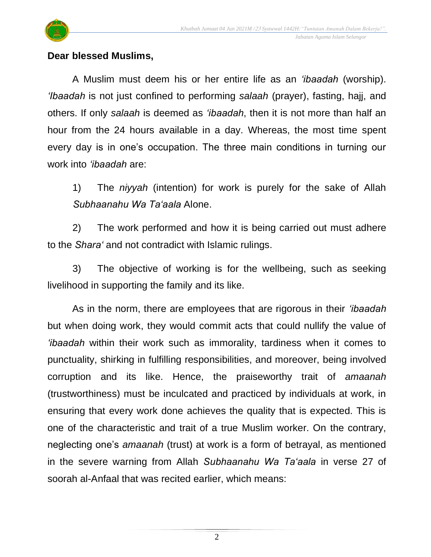

#### **Dear blessed Muslims,**

A Muslim must deem his or her entire life as an *'ibaadah* (worship). *'Ibaadah* is not just confined to performing *salaah* (prayer), fasting, hajj, and others. If only *salaah* is deemed as *'ibaadah*, then it is not more than half an hour from the 24 hours available in a day. Whereas, the most time spent every day is in one's occupation. The three main conditions in turning our work into *'ibaadah* are:

1) The *niyyah* (intention) for work is purely for the sake of Allah *Subhaanahu Wa Ta'aala* Alone.

2) The work performed and how it is being carried out must adhere to the *Shara'* and not contradict with Islamic rulings.

3) The objective of working is for the wellbeing, such as seeking livelihood in supporting the family and its like.

As in the norm, there are employees that are rigorous in their *'ibaadah* but when doing work, they would commit acts that could nullify the value of *'ibaadah* within their work such as immorality, tardiness when it comes to punctuality, shirking in fulfilling responsibilities, and moreover, being involved corruption and its like. Hence, the praiseworthy trait of *amaanah* (trustworthiness) must be inculcated and practiced by individuals at work, in ensuring that every work done achieves the quality that is expected. This is one of the characteristic and trait of a true Muslim worker. On the contrary, neglecting one's *amaanah* (trust) at work is a form of betrayal, as mentioned in the severe warning from Allah *Subhaanahu Wa Ta'aala* in verse 27 of soorah al-Anfaal that was recited earlier, which means: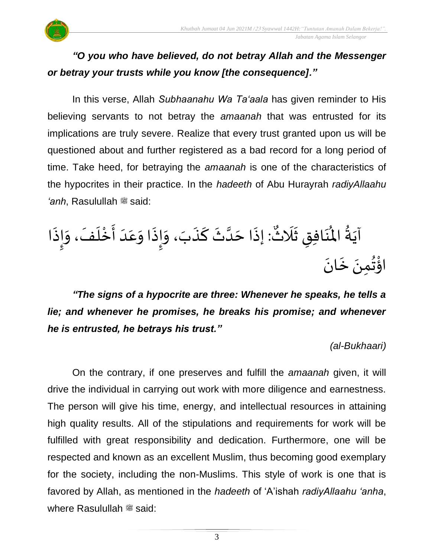

## *"O you who have believed, do not betray Allah and the Messenger or betray your trusts while you know [the consequence]."*

In this verse, Allah *Subhaanahu Wa Ta'aala* has given reminder to His believing servants to not betray the *amaanah* that was entrusted for its implications are truly severe. Realize that every trust granted upon us will be questioned about and further registered as a bad record for a long period of time. Take heed, for betraying the *amaanah* is one of the characteristics of the hypocrites in their practice. In the *hadeeth* of Abu Hurayrah *radiyAllaahu 'anh*, Rasulullah صلى الله عليه وسلم said:

: إِذَا حَدَّثَ كَذَبَ، وَإِذَا وَعَدَ أَخْلَفَ، وَإِذَا  $\ddot{\cdot}$  $\frac{1}{2}$  $\frac{1}{2}$  $\overline{\phantom{a}}$ ْ  $\frac{1}{2}$  $\frac{1}{1}$  $\frac{1}{2}$  $\frac{1}{2}$  $\ddot{\cdot}$  $\sum_{i=1}^n$  $\frac{1}{2}$  $\ddot{\cdot}$ ์<br>-<br>- $\frac{1}{2}$ ہ<br>ا  $\overline{\phantom{a}}$  $\ddot{\cdot}$ يو<br>م آيَةُ المُنَافِقِ ثَلَاثٌ ً<br>ن  $\frac{1}{2}$  $\ddot{\bm{s}}$ ِ<br>ئە  $\mathbf{r}$ ر<br>م  $\frac{1}{2}$  $\ddot{\phantom{0}}$ اؤْتُمِنَ خَانَ  $\ddot{\phantom{0}}$  $\ddot{\phantom{0}}$ <sup>∂</sup> ؚ<br>پن

*"The signs of a hypocrite are three: Whenever he speaks, he tells a lie; and whenever he promises, he breaks his promise; and whenever he is entrusted, he betrays his trust."*

*(al-Bukhaari)*

On the contrary, if one preserves and fulfill the *amaanah* given, it will drive the individual in carrying out work with more diligence and earnestness. The person will give his time, energy, and intellectual resources in attaining high quality results. All of the stipulations and requirements for work will be fulfilled with great responsibility and dedication. Furthermore, one will be respected and known as an excellent Muslim, thus becoming good exemplary for the society, including the non-Muslims. This style of work is one that is favored by Allah, as mentioned in the *hadeeth* of 'A'ishah *radiyAllaahu 'anha*, where Rasulullah  $\ddot{\mathcal{Z}}$  said: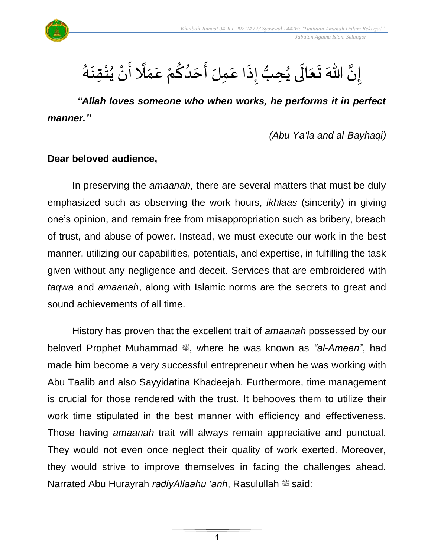

#### ।<br>-<br>-إِنَّ اللّهَ تَعَالَى يُحِبُّ إِذَا عَمِلَ أَحَدُكُمْ عَمَلًا أَنْ يُتْقِنَهُ َ ء<br>لم  $\ddot{\phantom{0}}$ ْ ُ ْ  $\ddot{\phantom{0}}$ ً<br>أ  $\frac{1}{\lambda}$  $\frac{1}{2}$ ْ <u>ل</u>و <br>ا  $\overline{\phantom{a}}$  $\ddot{\phantom{0}}$  $\frac{1}{2}$  $\ddot{\cdot}$ ُّ ُ<br>ُ ِ<br>الح  $\ddot{\phantom{0}}$  $\ddot{\phantom{0}}$

*"Allah loves someone who when works, he performs it in perfect manner."*

*(Abu Ya'la and al-Bayhaqi)*

#### **Dear beloved audience,**

In preserving the *amaanah*, there are several matters that must be duly emphasized such as observing the work hours, *ikhlaas* (sincerity) in giving one's opinion, and remain free from misappropriation such as bribery, breach of trust, and abuse of power. Instead, we must execute our work in the best manner, utilizing our capabilities, potentials, and expertise, in fulfilling the task given without any negligence and deceit. Services that are embroidered with *taqwa* and *amaanah*, along with Islamic norms are the secrets to great and sound achievements of all time.

History has proven that the excellent trait of *amaanah* possessed by our beloved Prophet Muhammad , where he was known as "al-Ameen", had made him become a very successful entrepreneur when he was working with Abu Taalib and also Sayyidatina Khadeejah. Furthermore, time management is crucial for those rendered with the trust. It behooves them to utilize their work time stipulated in the best manner with efficiency and effectiveness. Those having *amaanah* trait will always remain appreciative and punctual. They would not even once neglect their quality of work exerted. Moreover, they would strive to improve themselves in facing the challenges ahead. Narrated Abu Hurayrah *radiyAllaahu 'anh*, Rasulullah <sup>*s*said:</sup>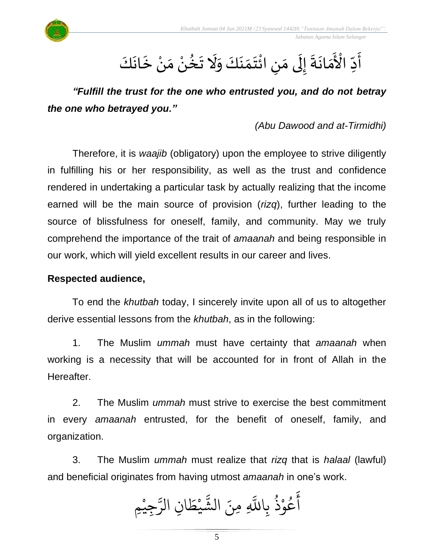

#### $\ddot{\phantom{a}}$ أ ۔<br>ع<br>م ع دِّ الْأَمَانَةَ إِلَى مَنِ ائْتَمَنَكَ وَلَا تَخُنْ مَنْ خَانَكَ ِّ َ<br>اُح  $\ddot{\phantom{0}}$ ।<br>-<br>- $\frac{1}{2}$  $\ddot{\phantom{0}}$ ل  $\frac{1}{2}$ ِ ់<br>:  $\ddot{\phantom{0}}$  $\frac{1}{2}$  $\tilde{\cdot}$  $\ddot{\phantom{0}}$ ्<br>र ْ  $\frac{1}{2}$ ۫<br>ؙ **م**ُ ∗  $\ddot{\phantom{0}}$  $\ddot{\phantom{0}}$  $\ddot{\phantom{0}}$

*"Fulfill the trust for the one who entrusted you, and do not betray the one who betrayed you."* 

*(Abu Dawood and at-Tirmidhi)*

Therefore, it is *waajib* (obligatory) upon the employee to strive diligently in fulfilling his or her responsibility, as well as the trust and confidence rendered in undertaking a particular task by actually realizing that the income earned will be the main source of provision (*rizq*), further leading to the source of blissfulness for oneself, family, and community. May we truly comprehend the importance of the trait of *amaanah* and being responsible in our work, which will yield excellent results in our career and lives.

### **Respected audience,**

To end the *khutbah* today, I sincerely invite upon all of us to altogether derive essential lessons from the *khutbah*, as in the following:

1. The Muslim *ummah* must have certainty that *amaanah* when working is a necessity that will be accounted for in front of Allah in the Hereafter.

2. The Muslim *ummah* must strive to exercise the best commitment in every *amaanah* entrusted, for the benefit of oneself, family, and organization.

3. The Muslim *ummah* must realize that *rizq* that is *halaal* (lawful) and beneficial originates from having utmost *amaanah* in one's work.

جِيْمِ ْ ند<br>س ِن الر ا  $\frac{1}{2}$ ط ي **ّ** ر<br>مذ الش ِ ِمنَ ذ ْعُوْذُ بِاللَّهِ و<br>په ْ و<br>م ِ<br>ج أ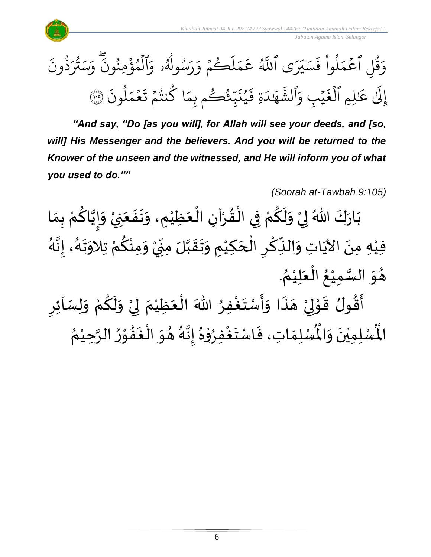





*"And say, "Do [as you will], for Allah will see your deeds, and [so,*  will] His Messenger and the believers. And you will be returned to the *Knower of the unseen and the witnessed, and He will inform you of what you used to do.""*

*(Soorah at-Tawbah 9:105)*

ْ بَارَكَ اللّهُ لِيْ وَلَكُمْ فِي الْقُرْآنِ الْعَظِيْمِ، وَنَفَعَنِيْ وَإِيَّاكُمْ بِمَا  $\ddot{\bullet}$  $\frac{1}{2}$  $\ddot{\phantom{0}}$  $\frac{1}{2}$ ់<br>រ  $\ddot{\phantom{0}}$ ْ ْ  $\frac{1}{2}$ ֦֧֦֧֦֦֧֦֧֝֟֓֓<u>֚</u> ْ ۔<br>ج  $\tilde{\epsilon}$  $\ddot{\ }$ ْ  $\frac{1}{2}$  $\ddot{\phantom{0}}$  $\frac{1}{2}$ ៝<br><del>៹</del> <u>ل</u> َ  $\frac{1}{2}$  $\tilde{\cdot}$ ر<br>ر فيْهِ مِنَ الآيَاتِ وَالنِّكْرِ الْحَكِيْمِ وَتَقَبَّلَ مِنِّيْ وَمِنْكُمْ تِلاَوَتَهُ، إِنَّهُ े<br>इ  $\frac{1}{2}$ ر<br>پر  $\frac{1}{2}$  $\ddot{\phantom{0}}$ ْ ِ<br>م ْ  $\frac{1}{2}$ ؚ<br>و י<br>ִי  $\sum$ ن<br>ا  $\frac{1}{2}$  $\ddot{\phantom{0}}$  $\frac{1}{2}$ ់<br>(  $\overline{\phantom{a}}$ ֧֧֦֝֟֟֟֟֟֟֟֟֟֟֟֟֟֓֟֓֕֟ ِ ْ ِّ َ<br>م ِ<br>پُ  $\ddot{\phantom{0}}$ ់<br>( . ُ هُوَ السَّمِيْعُ الْعَلِيْمُ ْ  $\ddot{\phantom{0}}$ ֝֟<br>֧֝֟ ُ ់<br>រ **تا**<br>سا  $\ddot{\ }$  $\frac{1}{2}$ أَقُولُ قَوْلِيْ هَذَا وَأَسْتَغْفِرُ اللّٰهَ الْعَظِيْمَ لِيْ وَلَكُمْ وَلِسَاْئِرِ ِ<br>ا  $\frac{1}{2}$  $\ddot{\cdot}$  $\frac{1}{2}$ ै।<br>द  $\ddot{\phantom{0}}$ ْ إ י<br>י  $\ddot{\cdot}$  $\frac{1}{2}$  $\frac{1}{2}$ <u>ر</u>  $\frac{1}{2}$ ْ ِ<br>م  $\tilde{\mathbf{r}}$  $\frac{1}{2}$ ْ إ  $\frac{1}{\epsilon}$ ْ  $\ddot{\phantom{0}}$ ֦֧֦֧֦֦֧֝<u>֦</u> ُُ ري<br>لْمُسْلِمَاتِ، فَاسْتَغْفِرُوْهُ إِنَّهُ هُوَ الْغَفُوْرُ الرَّحِيْمُ ់<br>រ ہ<br>د بر<br>ا∙ ֦֧֦ **∗**<br>•  $\frac{1}{2}$ ا<br>ا  $\ddot{\phantom{0}}$ ُ د<br>گ  $\ddot{\phantom{0}}$ ।<br>-<br>-ِ<br>ٌ ֦֧֦֧֦ ٍ<br>ٌ ا<br>ا  $\frac{1}{2}$  $\ddot{\cdot}$  $\frac{1}{\lambda}$ رت<br>لْمُسْلِمِيْنَ وَالْمُ  $\ddot{\ }$  $\ddot{\phantom{0}}$ ْ اْل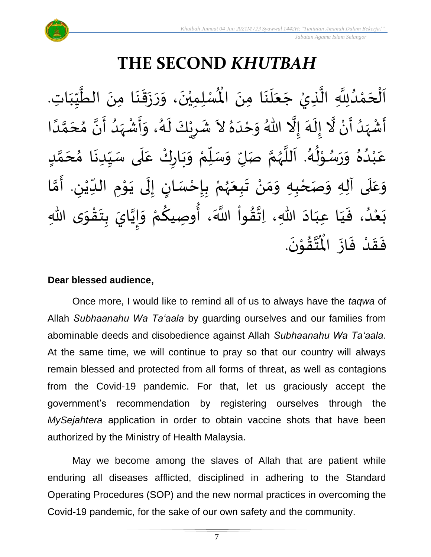

# **THE SECOND** *KHUTBAH*

ِ<br>لْمُسْلِمِيْنَ، وَرَزَقَنَا مِنَ الطَّيِّبَاتِ  $\frac{1}{1}$  $\frac{1}{2}$  $\frac{1}{2}$ ل<br>محمد<br>ا  $\ddot{\phantom{0}}$  $\ddot{\phantom{0}}$  $\frac{1}{2}$  $\ddot{\phantom{0}}$  $\frac{1}{2}$  $\frac{1}{2}$  $\ddot{\phantom{0}}$ ْ اَلْحَمْدُلِلَّهِ الَّذِيْ جَعَلَنَا مِنَ الْمُسْلِمِيْنَ، وَرَزَقَنَا مِنَ الطَّيِّبَاتِ.  $\ddot{\phantom{0}}$  $\ddot{\phantom{0}}$ ِ<br>ا َ  $\overline{\phantom{a}}$ ل<br>ا ن<br>ا <br>ا ْ  $\overline{\phantom{a}}$ ֦֧֦֧֦֧֦֧֦֧֦֧֦֧֧֦֧֧֝֟֓֓֓֜֓֟֓֜֓֓<u>֖֚֓</u>  $\frac{1}{2}$ َ<br>زار<br>ما أَشْهَدُ أَنْ لَّا إِلَهَ إِلَّا اللّهُ وَحْدَهُ لاَ شَرِيْكَ لَهُ، وَأَشْهَدُ أَنَّ مُحَمَّدًا ْ  $\sum_{i=1}^{n}$ ्<br>र ْ  $\ddot{\mathbf{z}}$  $\frac{1}{1}$ ل<br>مجموع َ<br>پر  $\tilde{\cdot}$  $\frac{1}{2}$  $\ddot{\phantom{0}}$ ِ<br>پ  $\overline{\phantom{a}}$  $\frac{1}{2}$ ً<br>ا ี้<br>ส ं<br>- $\frac{1}{2}$  $\frac{1}{2}$ ا<br>: <br>ا  $\frac{1}{2}$ ْ  $\frac{1}{2}$  $\frac{1}{2}$ ر<br>گ  $\ddot{\phantom{0}}$ ْ <u>ر</u>  $\frac{1}{2}$ عَبْدُهُ وَرَسُوْلُهُ. اَللَّهُمَّ صَلِّ وَسَلِّمْ وَبَارِكْ عَلَى سَيِّدِنَا مُحَمَّدٍ  $\mathbf{r}$ ั<br>ั  $\overline{\phantom{a}}$ ๋<br>ጎ **ृ** ِّ  $\frac{1}{2}$ ۔ $\frac{1}{1}$ ِ<br>م ّ<br>وُ  $\ddot{\phantom{0}}$ بر<br>م ْ ِّ  $\frac{1}{2}$  $\frac{1}{2}$ ี<br>จ ر<br>ر<br>ر ہ<br>ا م<br>آ ر<br>گ ء<br>ا≉ י<br>י ُ<br>ُ  $\frac{1}{2}$  $\frac{1}{2}$ بر<br>▲ .<br>د ់<br>រ ِ<br>م وَعَلَى آلِهِ وَصَحْبِهِ وَمَنْ تَبِعَهُمْ بِإِحْسَانٍ إِلَى يَوْمِ الدِّيْنِ. أَمَّا  $\overline{\mathbf{1}}$  $\frac{1}{2}$  $\tilde{\cdot}$ ْ ِّ **→** י<br>י  $\ddot{\phantom{0}}$  $\ddot{\phantom{0}}$ ل ।<br>-<br>-)<br>=<br>= ֦֧֦֧֦֧<u>֦</u> **با**<br>-ْ ر<br>ر<br>ر  $\ddot{\phantom{0}}$  $\ddot{\phantom{0}}$ ْ ์ $\frac{1}{2}$  $\frac{1}{2}$ ْ ี<br>วั َ -<br>بَعْدُ، فَيَا عِبَادَ اللهِ، اِتَّقُواْ اللَّهَ، أُوصِيكُمْ وَإِيَّايَ بِتَقْوَى اللهِ  $\ddot{\ }$ ֦֧֦֧֦֧֝<u>֦</u>  $\ddot{\phantom{0}}$  $\ddot{\cdot}$ َ  $\frac{1}{2}$  $\frac{1}{2}$ ْ **∕**<br>م ُ<br>په<br>پنجاب نہ<br>ا  $\frac{1}{2}$  $\frac{1}{2}$  $\ddot{\phantom{0}}$  $\frac{1}{1}$  $\frac{1}{1}$  $\frac{1}{2}$ <br>ا ْ  $\ddot{\phantom{0}}$ .  $\ddot{\phantom{0}}$ تقۇنَ ֦֧֦֦֧֦֦֦֧֦֝֝֟֓<br>**֧**  $\frac{1}{2}$ ِ<br>ئى<br>ب  $\frac{1}{\sqrt{2}}$ فَقَدْ فَازَ الْمُ  $\ddot{\phantom{0}}$  $\ddot{\cdot}$ ْ  $\frac{1}{2}$  $\ddot{\cdot}$ 

#### **Dear blessed audience,**

Once more, I would like to remind all of us to always have the *taqwa* of Allah *Subhaanahu Wa Ta'aala* by guarding ourselves and our families from abominable deeds and disobedience against Allah *Subhaanahu Wa Ta'aala*. At the same time, we will continue to pray so that our country will always remain blessed and protected from all forms of threat, as well as contagions from the Covid-19 pandemic. For that, let us graciously accept the government's recommendation by registering ourselves through the *MySejahtera* application in order to obtain vaccine shots that have been authorized by the Ministry of Health Malaysia.

May we become among the slaves of Allah that are patient while enduring all diseases afflicted, disciplined in adhering to the Standard Operating Procedures (SOP) and the new normal practices in overcoming the Covid-19 pandemic, for the sake of our own safety and the community.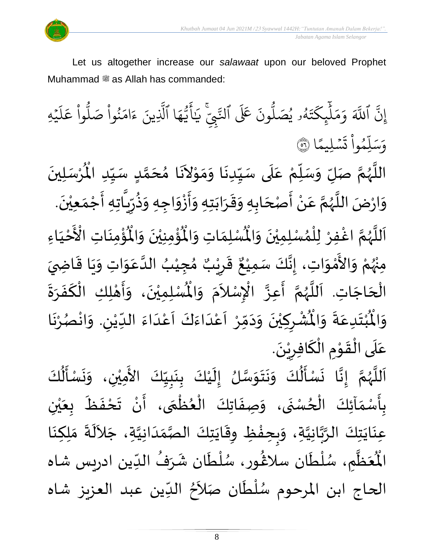

Let us altogether increase our *salawaat* upon our beloved Prophet Muhammad صلى الله عليه وسلم as Allah has commanded:

ِ ي ءِ<br>شمي .<br>تَ عَلَى ٱلنَّ ون و<br>ا ه<br>۹ يُصَلُّ و<br>د و<br>لم  $\ddot{\phantom{0}}$ ت ر<br>م ِك ئ بر<br>آ  $\uparrow$ ر<br>م بر<br>م ِ<br>م و ِ اللَّهَ بہ<br>ج إِنَّ اللَّهَ وَمَلْبِكَتَهُو يُصَلُّونَ عَلَى النَّبِيِّ َٰ ِ<br>بر يَايَّهَا الَّذِينَ ءَامَنُوا صَلُوا عَلَيْهِ ؚ<br>ۣ ر<br>آ  $\uplambda$ ِ<br>م ع وا ْ و<br>ا نُواْ صَلُّ ْ ُ ِرِ ام ्<br>द ء ِينَ بة<br>1 ا الَّذِ ِ<br>م ه و<br>د سَ<br>ڊ ِ<br>ج أ ا  $\frac{2}{\lambda}$ ن*َسْ*لِيمً  $\ddot{\phantom{0}}$  $\ddot{\cdot}$ ت <u>ہ</u> وا ِم و<br>م ں<br>ا ل ِ<br>س وَسَلِّمُواْ تَسْلِيمًا (َ ُ

 $\ddot{\phantom{0}}$ ِ<br>رُسَلِينَ ْ  $\mathbf{r}^{\circ}$ اللَّهُمَّ صَلِّ وَسَلِّمْ عَلَى سَيِّدِنَا وَمَوْلاَنَا مُحَمَّدٍ سَيِّدِ الْمُرْسَلِينَ ِّ  $\frac{1}{2}$ <u>لم</u> ี<br>ั<br>ุก  $\overline{\phantom{a}}$ ๋<br>ጎ  $\mathbf{r}$  $\tilde{\phantom{a}}$ י<br>י  $\frac{1}{2}$  $\frac{1}{2}$  $\ddot{\phantom{0}}$ ِّ  $\overline{\phantom{a}}$ ِ<br>م ْ ِ<br>ِّ  $\frac{1}{2}$  $\frac{1}{2}$ ี<br>จ ر<br>ر<br>ر ہ<br>ا ़<br>-<br>• وَارْضَ اللَّهُمَّ عَنْ أَصْحَابِهِ وَقَرَابَتِهِ وَأَزْوَاجِهِ وَذُرِّيَّاتِهِ أَجْمَعِيْنَ. ْ  $\frac{1}{2}$ ֦֧֦֧֦֧<u>֦</u> -<br>:<br>: ً<br>ق  $\frac{1}{2}$ ر ءِ<br>په  $\frac{1}{2}$  $\frac{1}{2}$ ່<br>: ֧֪֪֪֧֧֧֧֓֝֬֝֝֝֟֓֝֬֝֓֝֓֝֬֝֓֝֬֝֓֝֬֝֓֝<br>֧֪֪֝֝֝֝֟׆֧֛  $\frac{1}{2}$  $\ddot{\phantom{0}}$  $\frac{1}{2}$  $\frac{1}{2}$ ์  $\overline{\phantom{a}}$ ا<br>:<br>: ْ  $\frac{1}{2}$ ن<br>پ ر<br>ر ِ<br>آ  $\tilde{\cdot}$ ؙۊ۠ۄٮؘؘاتؚ  $\ddot{\phantom{0}}$ ْ<br>ئا  $\tilde{\mathbf{r}}$ ُؤْمِنِيْنَ وَالْمُ  $\frac{1}{2}$  $\ddot{\phantom{0}}$ ْ ؚ<br>پا ُْ ِ<br>لْمُسْلِمَاتِ وَالْمُ  $\frac{1}{2}$  $\frac{1}{2}$ اَللَّهُمَّ اغْفِرْ لِلْمُسْلِمِيْنَ وَالْمُسْلِمَاتِ وَالْمُؤْمِنِيْنَ وَالْمُؤْمِنَاتِ الْأَخْيَاءِ  $\tilde{\cdot}$  $\ddot{\phantom{0}}$ ْ ›<br>ለ ់<br>**រ** ِ<br>و ี้<br>ถึ ر<br>ر<br>ر ہ<br>آ َ  $\frac{1}{1}$ ْ َ مَ<br>مراجع<br>المراجع الْأَخْيَاءِ ْ مِنْهُمْ وَالأَمْوَاتِ، إِنَّكَ سَمِيْعٌ قَرِيْبٌ مُجِيْبُ ُ<br>وُرُ ْ  $\ddot{\ }$ ់<br>ភ  $\frac{1}{2}$  $\frac{1}{2}$ ُ ْ  $\frac{1}{2}$ ه<br>**د ا** ي ر ق <u>ر</u> ر<br>پو ٌ ، إِنَّكَ سَمِيْعٌ قَرِيْبٌ مُجِيْبُ الدَّعَوَاتِ وَيَا قَاضِيَ ْ ्<br>द<br>:  $\frac{1}{2}$  $\frac{1}{2}$  $\ddot{\mathbf{r}}$  $\ddot{\phantom{0}}$  $\tilde{\cdot}$  $\ddot{\ }$ ِ<br>م ہ<br>ا تِهُم رَّ حَتَّلَ عَمَّاءٍ مَسْتِيَّ حَتِّبَ حَبِيَّبَ حَتَّ حَتَّى مِنْ مَسْتِيَّبِ مِنْ حَسِيْبِ<br>الْحَاجَاتِ. اَللَّهُمَّ أَعِزَّ الْإِسْلاَمَ وَالْمُسْلِمِيْنَ، وَأَهْلِكِ الْكَفَرَةَ  $\overline{\phantom{a}}$ ۔<br>∤ **]∗**  $\frac{1}{2}$  $\frac{1}{2}$ َ ْ י<br>**י** ر<br>بن  $\tilde{\cdot}$  $\ddot{\phantom{0}}$ ْ اَللَّهُمَّ أَعِزَّ الْإِسْلاَمَ وَالْمُ  $\tilde{\cdot}$ .<br>^ ِ<br>ِ .<br>ا  $\frac{1}{2}$  $\frac{1}{2}$ ن<br>پ ر<br>ر<br>ر ر<br>ق  $\frac{1}{1}$ ُشْرِكِيْنَ وَدَمِّرْ اَعْدَاءَكَ اَعْدَاءَ اللِّيْنِ. وَانْصُرْنَا ر<br>.<br>. ْ ُمُ<br>م ْ  $\tilde{\cdot}$ ِ ْ ِّ  $\frac{1}{2}$ ہ<br>د ّ<br>م  $\frac{1}{2}$ َ<br>و  $\frac{1}{2}$  $\frac{1}{1}$ ْ<br>م  $\overline{\phantom{a}}$ ֧֦֧֦֧֝<br>**֧**  $\frac{1}{2}$  $\sim$  $\frac{1}{2}$ ا<br>-<br>• ْ ِ ْ  $\ddot{\hat{}}$ ُبْتَدِعَةً وَالْمُ  $\frac{1}{2}$  $\ddot{\cdot}$  $\frac{1}{2}$  $\ddot{\phantom{0}}$ ْ<br>ْ  $\ddot{\hat{}}$ اْل و  $\tilde{\cdot}$ .  $\ddot{\phantom{}}$ عَلَى الْقَوْمِ الْكَافِرِيْنَ ْ <u>ر</u> ∶<br>∽ `<br>ا **→** ֦֧֦֧֦֧<u>֦</u> الہ<br>معا ֫<br>֟֟**֝** ์ $\overline{\phantom{a}}$  $\frac{1}{2}$ 

 $\frac{1}{2}$ ل<br>اَللَّهُمَّ إِنَّا نَسْأَلُكَ وَنَتَوَسَّلُ إِلَيْكَ بِنَبِيِّكَ الأَمِيْنِ، وَنَسْأَلُكَ ।<br>-<br>-ี<br>ถ ر<br>ر<br>ر ً<br>ا  $\overline{\phantom{a}}$ ُ<br>ا∲  $\ddot{\phantom{0}}$  $\ddot{\phantom{0}}$  $\frac{1}{2}$ ْ  $\tilde{\epsilon}$ ِّ  $\frac{1}{2}$  $\frac{1}{2}$  $\ddot{\phantom{0}}$ ر<br>.<br>-ْ  $\mathbf{r}$ ।<br>-<br>-ن<br>سا  $\ddot{\ }$  $\ddot{\phantom{0}}$  $\ddot{\phantom{0}}$  $\tilde{\cdot}$ ُ<br>ا َ  $\ddot{\phantom{0}}$ .<br>بِأَسْمَآئِكَ الْحُسْنَى، وَصِفَاتِكَ الْعُظُمَى، أَنْ تَحْفَظَ بِعَيْنِ ْ ي  $\frac{1}{2}$ ر<br>م  $\ddot{\cdot}$  $\frac{1}{2}$ ْ  $\sum_{i=1}^{n}$  $\frac{1}{2}$ ر<br>م }<br>• ֦֧֦֧֦֧֝<u>֦</u>  $\ddot{\cdot}$  $\tilde{\cdot}$  $\ddot{\phantom{0}}$ ِّدِ ֦֧֦֧֦֧֦֧֦֧֦֧֧֝֝֜֓֓<u>֚</u>  $\frac{1}{2}$ -<br>इ ر<br>.<br>- $\ddot{\cdot}$ ِ<br>عِنَايَتِكَ الرَّبَّانِيَّةِ، وَبِحِفْظِ وِقَايَتِكَ الصَّمَدَانِيَّةِ، جَلاَلَةَ مَلِكِنَا ِ<br>آباد  $\sim$ ن<br>ا  $\frac{1}{1}$  $\frac{1}{2}$ ر<br>ر<br>ر  $\frac{1}{2}$ َ<br>پو ֞**֚** ।<br>२  $\tilde{\cdot}$ ن<br>ا ہ<br>م<br> ہ<br>پ  $\ddot{\phantom{0}}$  $\ddot{\phantom{0}}$  $\ddot{\phantom{0}}$  $\frac{1}{2}$ ُ<br>ُر ُعَظَّمِ، سُ ے<br>تا َ ر<br>مو الْمُعَظَّمِ، سُلْطَان سلَاڠُور، سُلْطَان شَرَفُ الدِّين ادريس شاه  $\frac{1}{1}$ ُ  $\mathbf{r}$ ر<br>م ٝ<br>ا .<br>م }<br>ዹ ر<br>م ر<br>أ الحاج ابن المرحوم سُلْطَان صَلاَحُ الدِّين عبد العزيز شاه  $\frac{1}{2}$ <sup>}</sup>  $\sim$ ۔<br>ا ا<br>ا ر<br>ر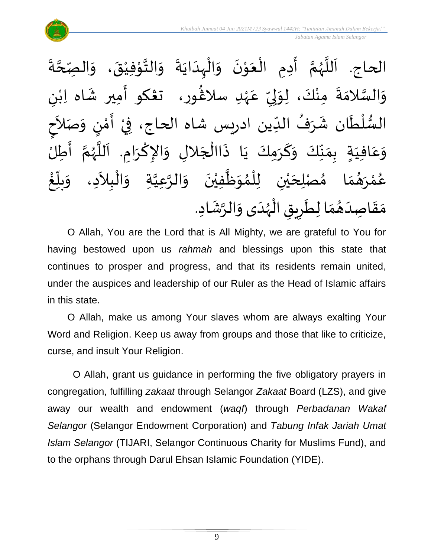

 $\ddot{\cdot}$ ة **ี**<br>ร ة<br>ح ِصِّ الحاج. اَللَّهُمَّ أَدِمِ الْعَوْنَ وَالْبِدَايَةَ وَالتَّوْفِيْقَ، وَال  $\frac{1}{2}$  $\ddot{\phantom{0}}$ ٝ<br>ؙ י<br>י  $\frac{1}{2}$  $\frac{1}{2}$  $\ddot{\cdot}$  $\ddot{\phantom{0}}$  $\frac{1}{1}$ ֦֧֦֧֦֧֝<u>֦</u>  $\frac{1}{2}$  $\ddot{\phantom{0}}$ י<br>י  $\frac{1}{2}$ ֦֧֦֧֧֧֧֧֧֟֟֓֟֓֟֓֟֓֟֓֟֓֟֓֟֓֟֓֟֓֟֓֟֓֟֓֟֓֟֓֟֓֟֓֟֩֕֟֓֟֓֝֟֓֟֓֝֟֓֟֓֝֟֓֝֬֟ ।<br>∕  $\sum_{i=1}^{n}$ ี<br>จั ر<br>ر<br>ر ہ<br>آ َ ى<br>وَالسَّلامَةَ مِنْكَ، لِوَلِيِّ عَهْدِ سلاغُور، ت**ڠك**و أَمِير شَاه اِبْنِ  $\frac{1}{2}$ َ ر<br>شم ٝ<br>ْ ِ<br>م ِّ ا<br>بر إ ์ $\frac{1}{2}$ ֦֧<u>֚</u>  $\ddot{\cdot}$  $\ddot{\ }$ ن<br>سا<br>سا  $\tilde{\cdot}$ ٝ<br>ؙ ।<br>ज السُّلْطَان شَرَفُ الدِّين ادريس شاه الحاج، فِيْ أَمْنٍ وَصَلاَحٍ  $\tilde{\phantom{a}}$  $\frac{1}{2}$ <u>رِ</u> ์<br>ำ ..<br>:<br>: ْ —<br>ب ُ ر<br>په  $\mathbf{r}$ ់<br>(  $\frac{3}{4}$ ِدٍ بِمَنِّكَ وَكَرَمِكَ يَا ذَاالْجَلالِ وَالإِكْرَامِ. اَللَّهُمَّ أَطِلُ ا<br>:<br>: ์<br>ถ .<br>پر<br>ر ب<br>تا َ ।<br>।<br>। ا<br>با  $\tilde{\cdot}$  $\overline{\phantom{a}}$ ֦֧֧֦֧֦֧֦֧֦֧֦֧֦֧֦֧֦֧֦֧֧֦֧֟֝֟֓֟֓֓֝֟֓֜֓֟֓<br>**֧**  $\ddot{\cdot}$  $\ddot{\phantom{0}}$ َ  $\tilde{\cdot}$ ِّ<br>ِ∙  $\frac{1}{2}$  $\sum_{i=1}^{n}$  $\frac{1}{1}$ ِفي  $\overline{\mathsf{L}}$ ِ<br>م ع  $\ddot{\ }$ و ໍ່<br>່ غ ِّ<br>ا  $\frac{1}{2}$ بلاً  $\tilde{\cdot}$ ا مُصْلِحَيْنِ لِلْمُوَظَّفِيْنَ وَالرَّعِيَّةِ وَالْبِلاَدِ، وَ  $\tilde{\phantom{a}}$ ֦֧֦֧֦֧֦֧֝<u>֦</u> ا<br>ا ្វ<br>វ ہ<br>پ ์  $\ddot{\phantom{0}}$ ْ ً<br>أ  $\frac{1}{2}$ ›<br>ለ ់<br>( ْ ي  $\overline{\phantom{a}}$  $\frac{1}{2}$  $\frac{1}{\lambda}$ م<br>م ़<br>ै و<br>گھ رَ ْ ه<br>لم ر<br>م ع ا<br>م مَقَاصِدَهُمَا لِطَرِيقِ الْهُدَى وَالرَّشَادِ.  $\frac{1}{2}$ ُ  $\frac{1}{1}$  $\frac{1}{2}$  $\frac{1}{2}$ .<br>په  $\tilde{\cdot}$  $\frac{1}{1}$ ر<br>ر<br>ر ֦֧֦֧֦֧֦֧֦֧֦֧֦֧֝֟֓֟֓֓֟֓֟֓֟֓֟֓֟֓֟֓֟֓֟֓֟֓֟֓֟֓֝֟֓<br>**֓**֓֡֘֩֩֡֡֘ <u>ر</u>

O Allah, You are the Lord that is All Mighty, we are grateful to You for having bestowed upon us *rahmah* and blessings upon this state that continues to prosper and progress, and that its residents remain united, under the auspices and leadership of our Ruler as the Head of Islamic affairs in this state.

O Allah, make us among Your slaves whom are always exalting Your Word and Religion. Keep us away from groups and those that like to criticize, curse, and insult Your Religion.

O Allah, grant us guidance in performing the five obligatory prayers in congregation, fulfilling *zakaat* through Selangor *Zakaat* Board (LZS), and give away our wealth and endowment (*waqf*) through *Perbadanan Wakaf Selangor* (Selangor Endowment Corporation) and *Tabung Infak Jariah Umat Islam Selangor* (TIJARI, Selangor Continuous Charity for Muslims Fund), and to the orphans through Darul Ehsan Islamic Foundation (YIDE).